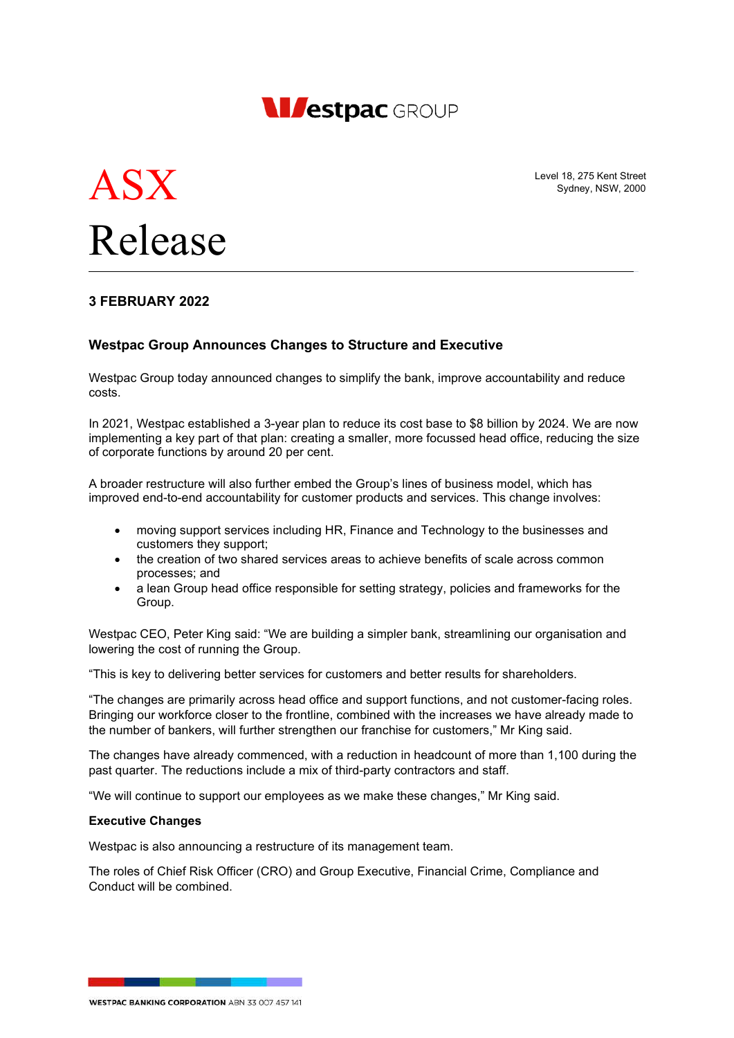



Level 18, 275 Kent Street Sydney, NSW, 2000

# **3 FEBRUARY 2022**

### **Westpac Group Announces Changes to Structure and Executive**

Westpac Group today announced changes to simplify the bank, improve accountability and reduce costs.

In 2021, Westpac established a 3-year plan to reduce its cost base to \$8 billion by 2024. We are now implementing a key part of that plan: creating a smaller, more focussed head office, reducing the size of corporate functions by around 20 per cent.

A broader restructure will also further embed the Group's lines of business model, which has improved end-to-end accountability for customer products and services. This change involves:

- moving support services including HR, Finance and Technology to the businesses and customers they support;
- the creation of two shared services areas to achieve benefits of scale across common processes; and
- a lean Group head office responsible for setting strategy, policies and frameworks for the Group.

Westpac CEO, Peter King said: "We are building a simpler bank, streamlining our organisation and lowering the cost of running the Group.

"This is key to delivering better services for customers and better results for shareholders.

"The changes are primarily across head office and support functions, and not customer-facing roles. Bringing our workforce closer to the frontline, combined with the increases we have already made to the number of bankers, will further strengthen our franchise for customers," Mr King said.

The changes have already commenced, with a reduction in headcount of more than 1,100 during the past quarter. The reductions include a mix of third-party contractors and staff.

"We will continue to support our employees as we make these changes," Mr King said.

#### **Executive Changes**

Westpac is also announcing a restructure of its management team.

The roles of Chief Risk Officer (CRO) and Group Executive, Financial Crime, Compliance and Conduct will be combined.

**WESTPAC BANKING CORPORATION ABN 33 007 457 141**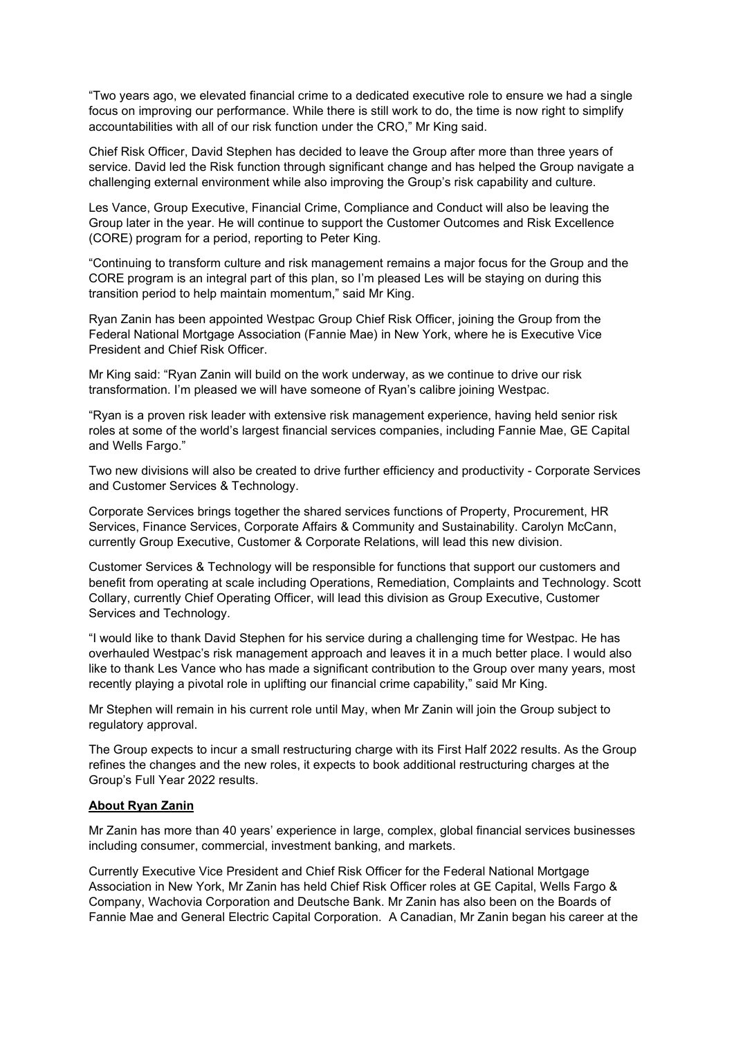"Two years ago, we elevated financial crime to a dedicated executive role to ensure we had a single focus on improving our performance. While there is still work to do, the time is now right to simplify accountabilities with all of our risk function under the CRO," Mr King said.

Chief Risk Officer, David Stephen has decided to leave the Group after more than three years of service. David led the Risk function through significant change and has helped the Group navigate a challenging external environment while also improving the Group's risk capability and culture.

Les Vance, Group Executive, Financial Crime, Compliance and Conduct will also be leaving the Group later in the year. He will continue to support the Customer Outcomes and Risk Excellence (CORE) program for a period, reporting to Peter King.

"Continuing to transform culture and risk management remains a major focus for the Group and the CORE program is an integral part of this plan, so I'm pleased Les will be staying on during this transition period to help maintain momentum," said Mr King.

Ryan Zanin has been appointed Westpac Group Chief Risk Officer, joining the Group from the Federal National Mortgage Association (Fannie Mae) in New York, where he is Executive Vice President and Chief Risk Officer.

Mr King said: "Ryan Zanin will build on the work underway, as we continue to drive our risk transformation. I'm pleased we will have someone of Ryan's calibre joining Westpac.

"Ryan is a proven risk leader with extensive risk management experience, having held senior risk roles at some of the world's largest financial services companies, including Fannie Mae, GE Capital and Wells Fargo."

Two new divisions will also be created to drive further efficiency and productivity - Corporate Services and Customer Services & Technology.

Corporate Services brings together the shared services functions of Property, Procurement, HR Services, Finance Services, Corporate Affairs & Community and Sustainability. Carolyn McCann, currently Group Executive, Customer & Corporate Relations, will lead this new division.

Customer Services & Technology will be responsible for functions that support our customers and benefit from operating at scale including Operations, Remediation, Complaints and Technology. Scott Collary, currently Chief Operating Officer, will lead this division as Group Executive, Customer Services and Technology.

"I would like to thank David Stephen for his service during a challenging time for Westpac. He has overhauled Westpac's risk management approach and leaves it in a much better place. I would also like to thank Les Vance who has made a significant contribution to the Group over many years, most recently playing a pivotal role in uplifting our financial crime capability," said Mr King.

Mr Stephen will remain in his current role until May, when Mr Zanin will join the Group subject to regulatory approval.

The Group expects to incur a small restructuring charge with its First Half 2022 results. As the Group refines the changes and the new roles, it expects to book additional restructuring charges at the Group's Full Year 2022 results.

### **About Ryan Zanin**

Mr Zanin has more than 40 years' experience in large, complex, global financial services businesses including consumer, commercial, investment banking, and markets.

Currently Executive Vice President and Chief Risk Officer for the Federal National Mortgage Association in New York, Mr Zanin has held Chief Risk Officer roles at GE Capital, Wells Fargo & Company, Wachovia Corporation and Deutsche Bank. Mr Zanin has also been on the Boards of Fannie Mae and General Electric Capital Corporation. A Canadian, Mr Zanin began his career at the